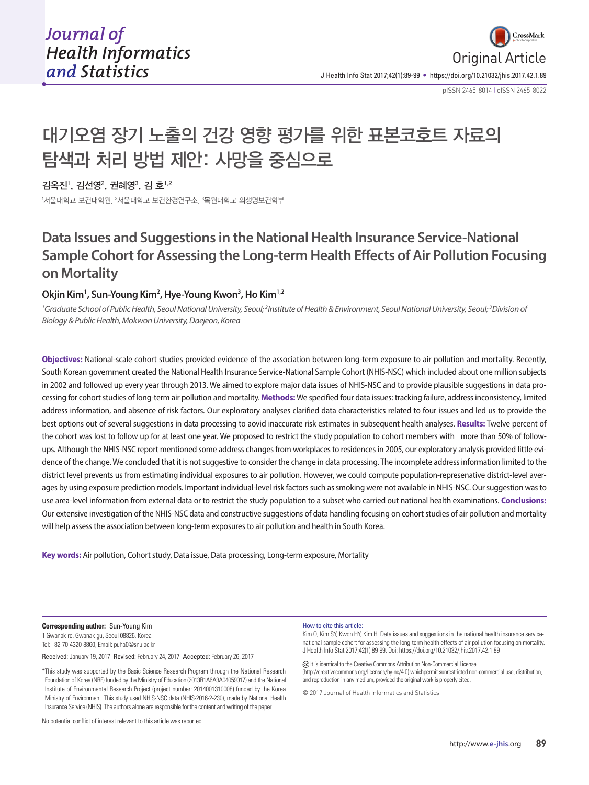

pISSN 2465-8014 **|** eISSN 2465-8022

# 대기오염 장기 노출의 건강 영향 평가를 위한 표본코호트 자료의 탐색과 처리 방법 제안: 사망을 중심으로

김옥진', 김선영<sup>2</sup>, 권혜영<sup>3</sup>, 김 호<sup>1,2</sup>

<sup>1</sup>서울대학교 보건대학원, <sup>2</sup>서울대학교 보건환경연구소, <sup>3</sup>목원대학교 의생명보건학부

# **Data Issues and Suggestions in the National Health Insurance Service-National Sample Cohort for Assessing the Long-term Health Effects of Air Pollution Focusing on Mortality**

## Okjin Kim<sup>1</sup>, Sun-Young Kim<sup>2</sup>, Hye-Young Kwon<sup>3</sup>, Ho Kim<sup>1,2</sup>

<sup>1</sup> Graduate School of Public Health, Seoul National University, Seoul; <sup>2</sup>Institute of Health & Environment, Seoul National University, Seoul; <sup>3</sup>Division of *Biology & Public Health, Mokwon University, Daejeon, Korea*

**Objectives:** National-scale cohort studies provided evidence of the association between long-term exposure to air pollution and mortality. Recently, South Korean government created the National Health Insurance Service-National Sample Cohort (NHIS-NSC) which included about one million subjects in 2002 and followed up every year through 2013. We aimed to explore major data issues of NHIS-NSC and to provide plausible suggestions in data processing for cohort studies of long-term air pollution and mortality. **Methods:** We specified four data issues: tracking failure, address inconsistency, limited address information, and absence of risk factors. Our exploratory analyses clarified data characteristics related to four issues and led us to provide the best options out of several suggestions in data processing to aovid inaccurate risk estimates in subsequent health analyses. **Results:** Twelve percent of the cohort was lost to follow up for at least one year. We proposed to restrict the study population to cohort members with more than 50% of followups. Although the NHIS-NSC report mentioned some address changes from workplaces to residences in 2005, our exploratory analysis provided little evidence of the change. We concluded that it is not suggestive to consider the change in data processing. The incomplete address information limited to the district level prevents us from estimating individual exposures to air pollution. However, we could compute population-represenative district-level averages by using exposure prediction models. Important individual-level risk factors such as smoking were not available in NHIS-NSC. Our suggestion was to use area-level information from external data or to restrict the study population to a subset who carried out national health examinations. **Conclusions:** Our extensive investigation of the NHIS-NSC data and constructive suggestions of data handling focusing on cohort studies of air pollution and mortality will help assess the association between long-term exposures to air pollution and health in South Korea.

**Key words:** Air pollution, Cohort study, Data issue, Data processing, Long-term exposure, Mortality

#### **Corresponding author:** Sun-Young Kim

1 Gwanak-ro, Gwanak-gu, Seoul 08826, Korea Tel: +82-70-4320-8860, Email: puha0@snu.ac.kr

Received: January 19, 2017 Revised: February 24, 2017 Accepted: February 26, 2017

No potential conflict of interest relevant to this article was reported.

#### How to cite this article:

Kim O, Kim SY, Kwon HY, Kim H. Data issues and suggestions in the national health insurance servicenational sample cohort for assessing the long-term health effects of air pollution focusing on mortality. J Health Info Stat 2017;42(1):89-99. Doi: https://doi.org/10.21032/jhis.2017.42.1.89

© It is identical to the Creative Commons Attribution Non-Commercial License (http://creativecommons.org/licenses/by-nc/4.0) whichpermit sunrestricted non-commercial use, distribution, and reproduction in any medium, provided the original work is properly cited.

© 2017 Journal of Health Informatics and Statistics

<sup>\*</sup>This study was supported by the Basic Science Research Program through the National Research Foundation of Korea (NRF) funded by the Ministry of Education (2013R1A6A3A04059017) and the National Institute of Environmental Research Project (project number: 2014001310008) funded by the Korea Ministry of Environment. This study used NHIS-NSC data (NHIS-2016-2-230), made by National Health Insurance Service (NHIS). The authors alone are responsible for the content and writing of the paper.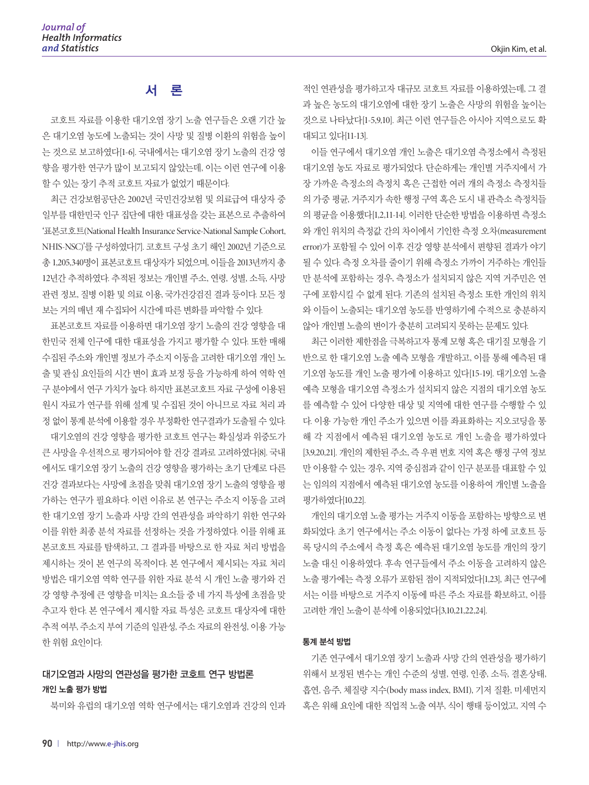# 서 론

코호트 자료를 이용한 대기오염 장기 노출 연구들은 오랜 기간 높 은 대기오염 농도에 노출되는 것이 사망 및 질병 이환의 위험을 높이 는 것으로 보고하였다[1-6]. 국내에서는 대기오염 장기 노출의 건강 영 향을 평가한 연구가 많이 보고되지 않았는데, 이는 이런 연구에 이용 할 수 있는 장기 추적 코호트 자료가 없었기 때문이다.

최근 건강보험공단은 2002년 국민건강보험 및 의료급여 대상자 중 일부를 대한민국 인구 집단에 대한 대표성을 갖는 표본으로 추출하여 '표본코호트(National Health Insurance Service-National Sample Cohort, NHIS-NSC)'를 구성하였다[7]. 코호트 구성 초기 해인 2002년 기준으로 총 1,205,340명이 표본코호트 대상자가 되었으며, 이들을 2013년까지 총 12년간 추적하였다. 추적된 정보는 개인별 주소, 연령, 성별, 소득, 사망 관련 정보, 질병 이환 및 의료 이용, 국가건강검진 결과 등이다. 모든 정 보는 거의 매년 재 수집되어 시간에 따른 변화를 파악할 수 있다.

표본코호트 자료를 이용하면 대기오염 장기 노출의 건강 영향을 대 한민국 전체 인구에 대한 대표성을 가지고 평가할 수 있다. 또한 매해 수집된 주소와 개인별 정보가 주소지 이동을 고려한 대기오염 개인 노 출 및 관심 요인들의 시간 변이 효과 보정 등을 가능하게 하여 역학 연 구 분야에서 연구 가치가 높다. 하지만 표본코호트 자료 구성에 이용된 원시 자료가 연구를 위해 설계 및 수집된 것이 아니므로 자료 처리 과 정 없이 통계 분석에 이용할 경우 부정확한 연구결과가 도출될 수 있다. 대기오염의 건강 영향을 평가한 코호트 연구는 확실성과 위중도가 큰 사망을 우선적으로 평가되어야 할 건강 결과로 고려하였다[8]. 국내 에서도 대기오염 장기 노출의 건강 영향을 평가하는 초기 단계로 다른 건강 결과보다는 사망에 초점을 맞춰 대기오염 장기 노출의 영향을 평 가하는 연구가 필요하다. 이런 이유로 본 연구는 주소지 이동을 고려 한 대기오염 장기 노출과 사망 간의 연관성을 파악하기 위한 연구와 이를 위한 최종 분석 자료를 선정하는 것을 가정하였다. 이를 위해 표 본코호트 자료를 탐색하고, 그 결과를 바탕으로 한 자료 처리 방법을 제시하는 것이 본 연구의 목적이다. 본 연구에서 제시되는 자료 처리 방법은 대기오염 역학 연구를 위한 자료 분석 시 개인 노출 평가와 건 강 영향 추정에 큰 영향을 미치는 요소들 중 네 가지 특성에 초점을 맞 추고자 한다. 본 연구에서 제시할 자료 특성은 코호트 대상자에 대한 추적 여부, 주소지 부여 기준의 일관성, 주소 자료의 완전성, 이용 가능 한 위험 요인이다.

## 대기오염과 사망의 연관성을 평가한 코호트 연구 방법론 개인 노출 평가 방법

북미와 유럽의 대기오염 역학 연구에서는 대기오염과 건강의 인과

적인 연관성을 평가하고자 대규모 코호트 자료를 이용하였는데, 그 결 과 높은 농도의 대기오염에 대한 장기 노출은 사망의 위험을 높이는 것으로 나타났다[1-5,9,10]. 최근 이런 연구들은 아시아 지역으로도 확 대되고 있다[11-13].

이들 연구에서 대기오염 개인 노출은 대기오염 측정소에서 측정된 대기오염 농도 자료로 평가되었다. 단순하게는 개인별 거주지에서 가 장 가까운 측정소의 측정치 혹은 근접한 여러 개의 측정소 측정치들 의 가중 평균, 거주지가 속한 행정 구역 혹은 도시 내 관측소 측정치들 의 평균을 이용했다[1,2,11-14]. 이러한 단순한 방법을 이용하면 측정소 와 개인 위치의 측정값 간의 차이에서 기인한 측정 오차(measurement error)가 포함될 수 있어 이후 건강 영향 분석에서 편향된 결과가 야기 될 수 있다. 측정 오차를 줄이기 위해 측정소 가까이 거주하는 개인들 만 분석에 포함하는 경우, 측정소가 설치되지 않은 지역 거주민은 연 구에 포함시킬 수 없게 된다. 기존의 설치된 측정소 또한 개인의 위치 와 이들이 노출되는 대기오염 농도를 반영하기에 수적으로 충분하지 않아 개인별 노출의 변이가 충분히 고려되지 못하는 문제도 있다.

최근 이러한 제한점을 극복하고자 통계 모형 혹은 대기질 모형을 기 반으로 한 대기오염 노출 예측 모형을 개발하고, 이를 통해 예측된 대 기오염 농도를 개인 노출 평가에 이용하고 있다[15-19]. 대기오염 노출 예측 모형을 대기오염 측정소가 설치되지 않은 지점의 대기오염 농도 를 예측할 수 있어 다양한 대상 및 지역에 대한 연구를 수행할 수 있 다. 이용 가능한 개인 주소가 있으면 이를 좌표화하는 지오코딩을 통 해 각 지점에서 예측된 대기오염 농도로 개인 노출을 평가하였다 [3,9,20,21]. 개인의 제한된 주소, 즉 우편 번호 지역 혹은 행정 구역 정보 만 이용할 수 있는 경우, 지역 중심점과 같이 인구 분포를 대표할 수 있 는 임의의 지점에서 예측된 대기오염 농도를 이용하여 개인별 노출을 평가하였다[10,22].

개인의 대기오염 노출 평가는 거주지 이동을 포함하는 방향으로 변 화되었다. 초기 연구에서는 주소 이동이 없다는 가정 하에 코호트 등 록 당시의 주소에서 측정 혹은 예측된 대기오염 농도를 개인의 장기 노출 대신 이용하였다. 후속 연구들에서 주소 이동을 고려하지 않은 노출 평가에는 측정 오류가 포함된 점이 지적되었다[1,23], 최근 연구에 서는 이를 바탕으로 거주지 이동에 따른 주소 자료를 확보하고, 이를 고려한 개인 노출이 분석에 이용되었다[3,10,21,22,24].

#### 통계 분석 방법

기존 연구에서 대기오염 장기 노출과 사망 간의 연관성을 평가하기 위해서 보정된 변수는 개인 수준의 성별, 연령, 인종, 소득, 결혼상태, 흡연, 음주, 체질량 지수(body mass index, BMI), 기저 질환, 미세먼지 혹은 위해 요인에 대한 직업적 노출 여부, 식이 행태 등이었고, 지역 수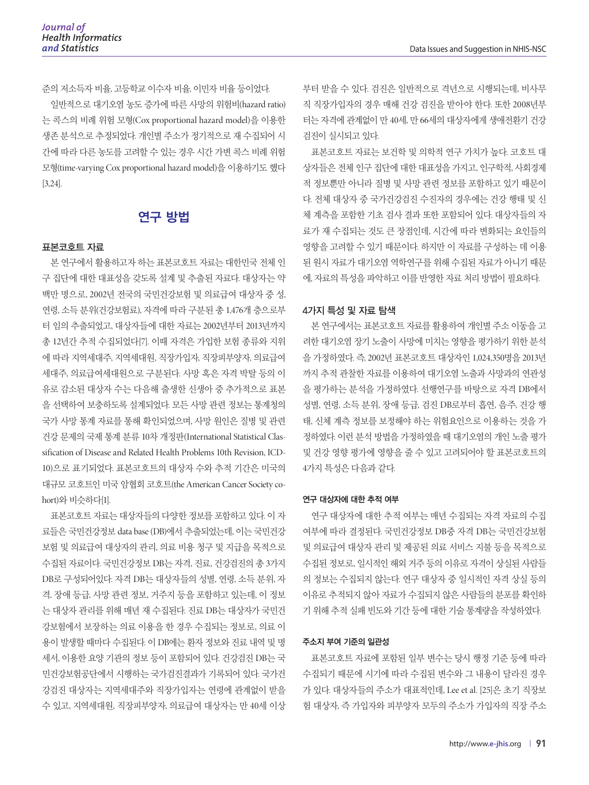준의 저소득자 비율, 고등학교 이수자 비율, 이민자 비율 등이었다. 일반적으로 대기오염 농도 증가에 따른 사망의 위험비(hazard ratio) 는 콕스의 비례 위험 모형(Cox proportional hazard model)을 이용한 생존 분석으로 추정되었다. 개인별 주소가 정기적으로 재 수집되어 시 간에 따라 다른 농도를 고려할 수 있는 경우 시간 가변 콕스 비례 위험

모형(time-varying Cox proportional hazard model)을 이용하기도 했다 [3,24].

# 연구 방법

#### 표본코호트 자료

본 연구에서 활용하고자 하는 표본코호트 자료는 대한민국 전체 인 구 집단에 대한 대표성을 갖도록 설계 및 추출된 자료다. 대상자는 약 백만 명으로, 2002년 전국의 국민건강보험 및 의료급여 대상자 중 성, 연령, 소득 분위(건강보험료), 자격에 따라 구분된 총 1,476개 층으로부 터 임의 추출되었고, 대상자들에 대한 자료는 2002년부터 2013년까지 총 12년간 추적 수집되었다[7]. 이때 자격은 가입한 보험 종류와 지위 에 따라 지역세대주, 지역세대원, 직장가입자, 직장피부양자, 의료급여 세대주, 의료급여세대원으로 구분된다. 사망 혹은 자격 박탈 등의 이 유로 감소된 대상자 수는 다음해 출생한 신생아 중 추가적으로 표본 을 선택하여 보충하도록 설계되었다. 모든 사망 관련 정보는 통계청의 국가 사망 통계 자료를 통해 확인되었으며, 사망 원인은 질병 및 관련 건강 문제의 국제 통계 분류 10차 개정판(International Statistical Classification of Disease and Related Health Problems 10th Revision, ICD-10)으로 표기되었다. 표본코호트의 대상자 수와 추적 기간은 미국의 대규모 코호트인 미국 암협회 코호트(the American Cancer Society cohort)와 비슷하다[1].

표본코호트 자료는 대상자들의 다양한 정보를 포함하고 있다. 이 자 료들은 국민건강정보 data base (DB)에서 추출되었는데, 이는 국민건강 보험 및 의료급여 대상자의 관리, 의료 비용 청구 및 지급을 목적으로 수집된 자료이다. 국민건강정보 DB는 자격, 진료, 건강검진의 총 3가지 DB로 구성되어있다. 자격 DB는 대상자들의 성별, 연령, 소득 분위, 자 격, 장애 등급, 사망 관련 정보, 거주지 등을 포함하고 있는데, 이 정보 는 대상자 관리를 위해 매년 재 수집된다. 진료 DB는 대상자가 국민건 강보험에서 보장하는 의료 이용을 한 경우 수집되는 정보로, 의료 이 용이 발생할 때마다 수집된다. 이 DB에는 환자 정보와 진료 내역 및 명 세서, 이용한 요양 기관의 정보 등이 포함되어 있다. 건강검진 DB는 국 민건강보험공단에서 시행하는 국가검진결과가 기록되어 있다. 국가건 강검진 대상자는 지역세대주와 직장가입자는 연령에 관계없이 받을 수 있고, 지역세대원, 직장피부양자, 의료급여 대상자는 만 40세 이상 부터 받을 수 있다. 검진은 일반적으로 격년으로 시행되는데, 비사무 직 직장가입자의 경우 매해 건강 검진을 받아야 한다. 또한 2008년부 터는 자격에 관계없이 만 40세, 만 66세의 대상자에게 생애전환기 건강 검진이 실시되고 있다.

표본코호트 자료는 보건학 및 의학적 연구 가치가 높다. 코호트 대 상자들은 전체 인구 집단에 대한 대표성을 가지고, 인구학적, 사회경제 적 정보뿐만 아니라 질병 및 사망 관련 정보를 포함하고 있기 때문이 다. 전체 대상자 중 국가건강검진 수진자의 경우에는 건강 행태 및 신 체 계측을 포함한 기초 검사 결과 또한 포함되어 있다. 대상자들의 자 료가 재 수집되는 것도 큰 장점인데, 시간에 따라 변화되는 요인들의 영향을 고려할 수 있기 때문이다. 하지만 이 자료를 구성하는 데 이용 된 원시 자료가 대기오염 역학연구를 위해 수집된 자료가 아니기 때문 에, 자료의 특성을 파악하고 이를 반영한 자료 처리 방법이 필요하다.

#### 4가지 특성 및 자료 탐색

본 연구에서는 표본코호트 자료를 활용하여 개인별 주소 이동을 고 려한 대기오염 장기 노출이 사망에 미치는 영향을 평가하기 위한 분석 을 가정하였다. 즉, 2002년 표본코호트 대상자인 1,024,350명을 2013년 까지 추적 관찰한 자료를 이용하여 대기오염 노출과 사망과의 연관성 을 평가하는 분석을 가정하였다. 선행연구를 바탕으로 자격 DB에서 성별, 연령, 소득 분위, 장애 등급, 검진 DB로부터 흡연, 음주, 건강 행 태, 신체 계측 정보를 보정해야 하는 위험요인으로 이용하는 것을 가 정하였다. 이런 분석 방법을 가정하였을 때 대기오염의 개인 노출 평가 및 건강 영향 평가에 영향을 줄 수 있고 고려되어야 할 표본코호트의 4가지 특성은 다음과 같다.

#### 연구 대상자에 대한 추적 여부

연구 대상자에 대한 추적 여부는 매년 수집되는 자격 자료의 수집 여부에 따라 결정된다. 국민건강정보 DB중 자격 DB는 국민건강보험 및 의료급여 대상자 관리 및 제공된 의료 서비스 지불 등을 목적으로 수집된 정보로, 일시적인 해외 거주 등의 이유로 자격이 상실된 사람들 의 정보는 수집되지 않는다. 연구 대상자 중 일시적인 자격 상실 등의 이유로 추적되지 않아 자료가 수집되지 않은 사람들의 분포를 확인하 기 위해 추적 실패 빈도와 기간 등에 대한 기술 통계량을 작성하였다.

#### 주소지 부여 기준의 일관성

표본코호트 자료에 포함된 일부 변수는 당시 행정 기준 등에 따라 수집되기 때문에 시기에 따라 수집된 변수와 그 내용이 달라진 경우 가 있다. 대상자들의 주소가 대표적인데, Lee et al. [25]은 초기 직장보 험 대상자, 즉 가입자와 피부양자 모두의 주소가 가입자의 직장 주소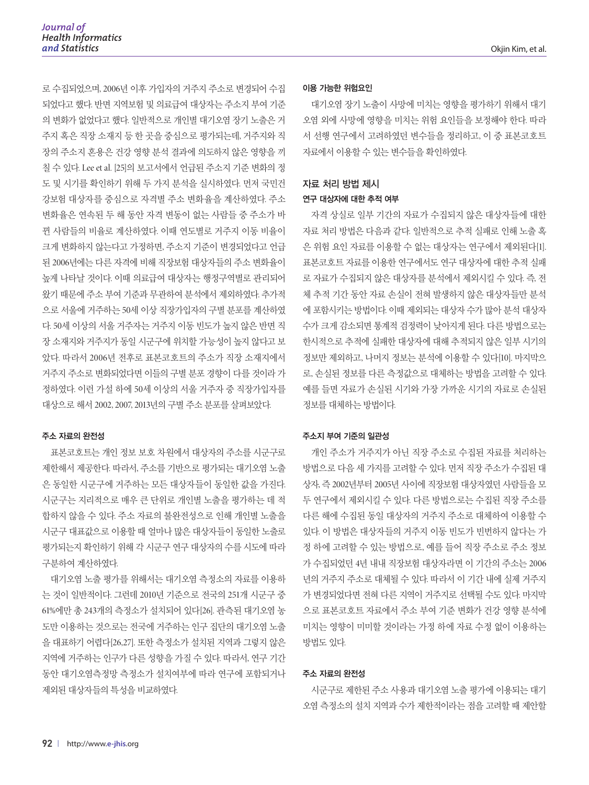로 수집되었으며, 2006년 이후 가입자의 거주지 주소로 변경되어 수집 되었다고 했다. 반면 지역보험 및 의료급여 대상자는 주소지 부여 기준 의 변화가 없었다고 했다. 일반적으로 개인별 대기오염 장기 노출은 거 주지 혹은 직장 소재지 등 한 곳을 중심으로 평가되는데, 거주지와 직 장의 주소지 혼용은 건강 영향 분석 결과에 의도하지 않은 영향을 끼 칠 수 있다. Lee et al. [25]의 보고서에서 언급된 주소지 기준 변화의 정 도 및 시기를 확인하기 위해 두 가지 분석을 실시하였다. 먼저 국민건 강보험 대상자를 중심으로 자격별 주소 변화율을 계산하였다. 주소 변화율은 연속된 두 해 동안 자격 변동이 없는 사람들 중 주소가 바 뀐 사람들의 비율로 계산하였다. 이때 연도별로 거주지 이동 비율이 크게 변화하지 않는다고 가정하면, 주소지 기준이 변경되었다고 언급 된 2006년에는 다른 자격에 비해 직장보험 대상자들의 주소 변화율이 높게 나타날 것이다. 이때 의료급여 대상자는 행정구역별로 관리되어 왔기 때문에 주소 부여 기준과 무관하여 분석에서 제외하였다. 추가적 으로 서울에 거주하는 50세 이상 직장가입자의 구별 분포를 계산하였 다. 50세 이상의 서울 거주자는 거주지 이동 빈도가 높지 않은 반면 직 장 소재지와 거주지가 동일 시군구에 위치할 가능성이 높지 않다고 보 았다. 따라서 2006년 전후로 표본코호트의 주소가 직장 소재지에서 거주지 주소로 변화되었다면 이들의 구별 분포 경향이 다를 것이라 가 정하였다. 이런 가설 하에 50세 이상의 서울 거주자 중 직장가입자를 대상으로 해서 2002, 2007, 2013년의 구별 주소 분포를 살펴보았다.

#### 주소 자료의 완전성

표본코호트는 개인 정보 보호 차원에서 대상자의 주소를 시군구로 제한해서 제공한다. 따라서, 주소를 기반으로 평가되는 대기오염 노출 은 동일한 시군구에 거주하는 모든 대상자들이 동일한 값을 가진다. 시군구는 지리적으로 매우 큰 단위로 개인별 노출을 평가하는 데 적 합하지 않을 수 있다. 주소 자료의 불완전성으로 인해 개인별 노출을 시군구 대표값으로 이용할 때 얼마나 많은 대상자들이 동일한 노출로 평가되는지 확인하기 위해 각 시군구 연구 대상자의 수를 시도에 따라 구분하여 계산하였다.

대기오염 노출 평가를 위해서는 대기오염 측정소의 자료를 이용하 는 것이 일반적이다. 그런데 2010년 기준으로 전국의 251개 시군구 중 61%에만 총 243개의 측정소가 설치되어 있다[26]. 관측된 대기오염 농 도만 이용하는 것으로는 전국에 거주하는 인구 집단의 대기오염 노출 을 대표하기 어렵다[26,27]. 또한 측정소가 설치된 지역과 그렇지 않은 지역에 거주하는 인구가 다른 성향을 가질 수 있다. 따라서, 연구 기간 동안 대기오염측정망 측정소가 설치여부에 따라 연구에 포함되거나 제외된 대상자들의 특성을 비교하였다.

#### 이용 가능한 위험요인

대기오염 장기 노출이 사망에 미치는 영향을 평가하기 위해서 대기 오염 외에 사망에 영향을 미치는 위험 요인들을 보정해야 한다. 따라 서 선행 연구에서 고려하였던 변수들을 정리하고, 이 중 표본코호트 자료에서 이용할 수 있는 변수들을 확인하였다.

## 자료 처리 방법 제시 연구 대상자에 대한 추적 여부

자격 상실로 일부 기간의 자료가 수집되지 않은 대상자들에 대한 자료 처리 방법은 다음과 같다. 일반적으로 추적 실패로 인해 노출 혹 은 위험 요인 자료를 이용할 수 없는 대상자는 연구에서 제외된다[1]. 표본코호트 자료를 이용한 연구에서도 연구 대상자에 대한 추적 실패 로 자료가 수집되지 않은 대상자를 분석에서 제외시킬 수 있다. 즉, 전 체 추적 기간 동안 자료 손실이 전혀 발생하지 않은 대상자들만 분석 에 포함시키는 방법이다. 이때 제외되는 대상자 수가 많아 분석 대상자 수가 크게 감소되면 통계적 검정력이 낮아지게 된다. 다른 방법으로는 한시적으로 추적에 실패한 대상자에 대해 추적되지 않은 일부 시기의 정보만 제외하고, 나머지 정보는 분석에 이용할 수 있다[10]. 마지막으 로, 손실된 정보를 다른 측정값으로 대체하는 방법을 고려할 수 있다. 예를 들면 자료가 손실된 시기와 가장 가까운 시기의 자료로 손실된 정보를 대체하는 방법이다.

#### 주소지 부여 기준의 일관성

개인 주소가 거주지가 아닌 직장 주소로 수집된 자료를 처리하는 방법으로 다음 세 가지를 고려할 수 있다. 먼저 직장 주소가 수집된 대 상자, 즉 2002년부터 2005년 사이에 직장보험 대상자였던 사람들을 모 두 연구에서 제외시킬 수 있다. 다른 방법으로는 수집된 직장 주소를 다른 해에 수집된 동일 대상자의 거주지 주소로 대체하여 이용할 수 있다. 이 방법은 대상자들의 거주지 이동 빈도가 빈번하지 않다는 가 정 하에 고려할 수 있는 방법으로, 예를 들어 직장 주소로 주소 정보 가 수집되었던 4년 내내 직장보험 대상자라면 이 기간의 주소는 2006 년의 거주지 주소로 대체될 수 있다. 따라서 이 기간 내에 실제 거주지 가 변경되었다면 전혀 다른 지역이 거주지로 선택될 수도 있다. 마지막 으로 표본코호트 자료에서 주소 부여 기준 변화가 건강 영향 분석에 미치는 영향이 미미할 것이라는 가정 하에 자료 수정 없이 이용하는 방법도 있다.

#### 주소 자료의 완전성

시군구로 제한된 주소 사용과 대기오염 노출 평가에 이용되는 대기 오염 측정소의 설치 지역과 수가 제한적이라는 점을 고려할 때 제안할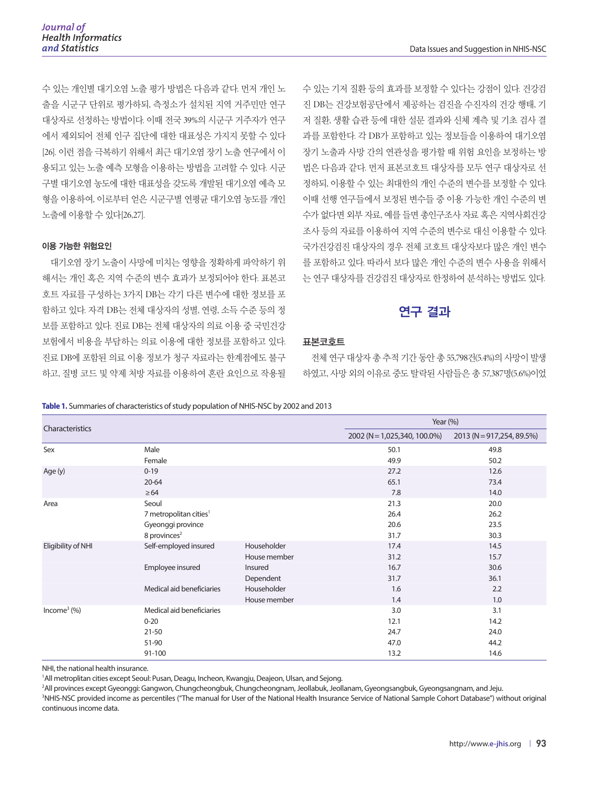수 있는 개인별 대기오염 노출 평가 방법은 다음과 같다. 먼저 개인 노 출을 시군구 단위로 평가하되, 측정소가 설치된 지역 거주민만 연구 대상자로 선정하는 방법이다. 이때 전국 39%의 시군구 거주자가 연구 에서 제외되어 전체 인구 집단에 대한 대표성은 가지지 못할 수 있다 [26]. 이런 점을 극복하기 위해서 최근 대기오염 장기 노출 연구에서 이 용되고 있는 노출 예측 모형을 이용하는 방법을 고려할 수 있다. 시군 구별 대기오염 농도에 대한 대표성을 갖도록 개발된 대기오염 예측 모 형을 이용하여, 이로부터 얻은 시군구별 연평균 대기오염 농도를 개인 노출에 이용할 수 있다[26,27].

#### 이용 가능한 위험요인

대기오염 장기 노출이 사망에 미치는 영향을 정확하게 파악하기 위 해서는 개인 혹은 지역 수준의 변수 효과가 보정되어야 한다. 표본코 호트 자료를 구성하는 3가지 DB는 각기 다른 변수에 대한 정보를 포 함하고 있다. 자격 DB는 전체 대상자의 성별, 연령, 소득 수준 등의 정 보를 포함하고 있다. 진료 DB는 전체 대상자의 의료 이용 중 국민건강 보험에서 비용을 부담하는 의료 이용에 대한 정보를 포함하고 있다. 진료 DB에 포함된 의료 이용 정보가 청구 자료라는 한계점에도 불구 하고, 질병 코드 및 약제 처방 자료를 이용하여 혼란 요인으로 작용될 수 있는 기저 질환 등의 효과를 보정할 수 있다는 강점이 있다. 건강검 진 DB는 건강보험공단에서 제공하는 검진을 수진자의 건강 행태, 기 저 질환, 생활 습관 등에 대한 설문 결과와 신체 계측 및 기초 검사 결 과를 포함한다. 각 DB가 포함하고 있는 정보들을 이용하여 대기오염 장기 노출과 사망 간의 연관성을 평가할 때 위험 요인을 보정하는 방 법은 다음과 같다. 먼저 표본코호트 대상자를 모두 연구 대상자로 선 정하되, 이용할 수 있는 최대한의 개인 수준의 변수를 보정할 수 있다. 이때 선행 연구들에서 보정된 변수들 중 이용 가능한 개인 수준의 변 수가 없다면 외부 자료, 예를 들면 총인구조사 자료 혹은 지역사회건강 조사 등의 자료를 이용하여 지역 수준의 변수로 대신 이용할 수 있다. 국가건강검진 대상자의 경우 전체 코호트 대상자보다 많은 개인 변수 를 포함하고 있다. 따라서 보다 많은 개인 수준의 변수 사용을 위해서 는 연구 대상자를 건강검진 대상자로 한정하여 분석하는 방법도 있다.

# 연구 결과

#### 표본코호트

전체 연구 대상자 총 추적 기간 동안 총 55,798건(5.4%)의 사망이 발생 하였고, 사망 외의 이유로 중도 탈락된 사람들은 총 57,387명(5.6%)이었

**Table 1.** Summaries of characteristics of study population of NHIS-NSC by 2002 and 2013

| Characteristics           |                                    |              |                                | Year $(\%)$               |  |
|---------------------------|------------------------------------|--------------|--------------------------------|---------------------------|--|
|                           |                                    |              | $2002 (N = 1,025,340,100.0\%)$ | 2013 (N = 917,254, 89.5%) |  |
| Sex                       | Male                               |              | 50.1                           | 49.8                      |  |
|                           | Female                             |              | 49.9                           | 50.2                      |  |
| Age (y)                   | $0 - 19$                           |              | 27.2                           | 12.6                      |  |
|                           | $20 - 64$                          |              | 65.1                           | 73.4                      |  |
|                           | $\geq 64$                          |              | 7.8                            | 14.0                      |  |
| Area                      | Seoul                              |              | 21.3                           | 20.0                      |  |
|                           | 7 metropolitan cities <sup>1</sup> |              | 26.4                           | 26.2                      |  |
|                           | Gyeonggi province                  |              | 20.6                           | 23.5                      |  |
|                           | 8 provinces <sup>2</sup>           |              | 31.7                           | 30.3                      |  |
| Eligibility of NHI        | Self-employed insured              | Householder  | 17.4                           | 14.5                      |  |
|                           |                                    | House member | 31.2                           | 15.7                      |  |
|                           | Employee insured                   | Insured      | 16.7                           | 30.6                      |  |
|                           |                                    | Dependent    | 31.7                           | 36.1                      |  |
|                           | Medical aid beneficiaries          | Householder  | 1.6                            | 2.2                       |  |
|                           |                                    | House member | 1.4                            | 1.0                       |  |
| Income <sup>3</sup> $(%)$ | Medical aid beneficiaries          |              | 3.0                            | 3.1                       |  |
|                           | $0 - 20$                           |              | 12.1                           | 14.2                      |  |
|                           | $21 - 50$                          |              | 24.7                           | 24.0                      |  |
|                           | 51-90                              |              | 47.0                           | 44.2                      |  |
|                           | 91-100                             |              | 13.2                           | 14.6                      |  |

NHI, the national health insurance.

<sup>1</sup>All metroplitan cities except Seoul: Pusan, Deagu, Incheon, Kwangju, Deajeon, Ulsan, and Sejong.

2 All provinces except Gyeonggi: Gangwon, Chungcheongbuk, Chungcheongnam, Jeollabuk, Jeollanam, Gyeongsangbuk, Gyeongsangnam, and Jeju.

<sup>3</sup>NHIS-NSC provided income as percentiles ("The manual for User of the National Health Insurance Service of National Sample Cohort Database") without original continuous income data.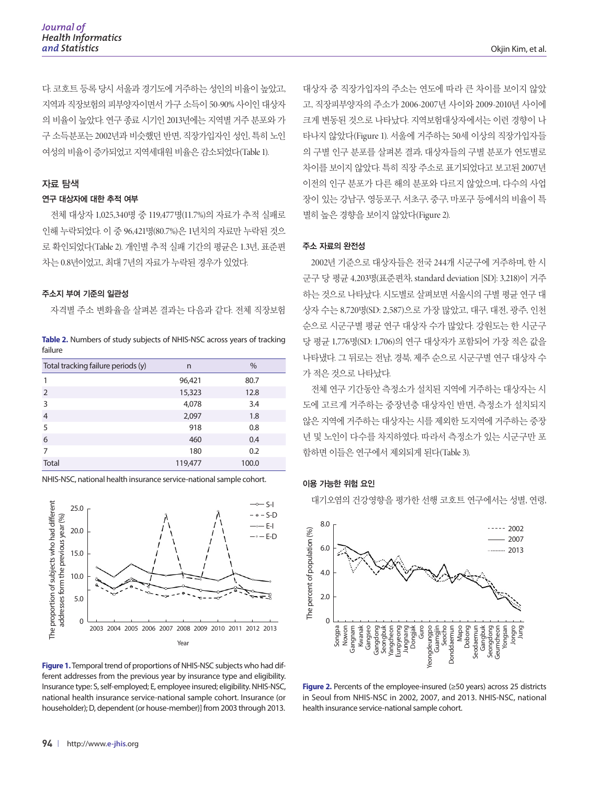다. 코호트 등록 당시 서울과 경기도에 거주하는 성인의 비율이 높았고, 지역과 직장보험의 피부양자이면서 가구 소득이 50-90% 사이인 대상자 의 비율이 높았다. 연구 종료 시기인 2013년에는 지역별 거주 분포와 가 구 소득분포는 2002년과 비슷했던 반면, 직장가입자인 성인, 특히 노인 여성의 비율이 증가되었고 지역세대원 비율은 감소되었다(Table 1).

#### 자료 탐색

#### 연구 대상자에 대한 추적 여부

전체 대상자 1,025,340명 중 119,477명(11.7%)의 자료가 추적 실패로 인해 누락되었다. 이 중 96,421명(80.7%)은 1년치의 자료만 누락된 것으 로 확인되었다(Table 2). 개인별 추적 실패 기간의 평균은 1.3년, 표준편 차는 0.8년이었고, 최대 7년의 자료가 누락된 경우가 있었다.

#### 주소지 부여 기준의 일관성

자격별 주소 변화율을 살펴본 결과는 다음과 같다. 전체 직장보험

**Table 2.** Numbers of study subjects of NHIS-NSC across years of tracking failure

| Total tracking failure periods (y) | n       | $\%$  |
|------------------------------------|---------|-------|
|                                    | 96,421  | 80.7  |
| 2                                  | 15,323  | 12.8  |
| 3                                  | 4,078   | 3.4   |
| $\overline{4}$                     | 2,097   | 1.8   |
| 5                                  | 918     | 0.8   |
| 6                                  | 460     | 0.4   |
| 7                                  | 180     | 0.2   |
| Total                              | 119,477 | 100.0 |

NHIS-NSC, national health insurance service-national sample cohort.



**Figure 1.** Temporal trend of proportions of NHIS-NSC subjects who had different addresses from the previous year by insurance type and eligibility. Insurance type: S, self-employed; E, employee insured; eligibility. NHIS-NSC, national health insurance service-national sample cohort. Insurance (or

대상자 중 직장가입자의 주소는 연도에 따라 큰 차이를 보이지 않았 고, 직장피부양자의 주소가 2006-2007년 사이와 2009-2010년 사이에 크게 변동된 것으로 나타났다. 지역보험대상자에서는 이런 경향이 나 타나지 않았다(Figure 1). 서울에 거주하는 50세 이상의 직장가입자들 의 구별 인구 분포를 살펴본 결과, 대상자들의 구별 분포가 연도별로 차이를 보이지 않았다. 특히 직장 주소로 표기되었다고 보고된 2007년 이전의 인구 분포가 다른 해의 분포와 다르지 않았으며, 다수의 사업 장이 있는 강남구, 영등포구, 서초구, 중구, 마포구 등에서의 비율이 특 별히 높은 경향을 보이지 않았다(Figure 2).

#### 주소 자료의 완전성

2002년 기준으로 대상자들은 전국 244개 시군구에 거주하며, 한 시 군구 당 평균 4,203명(표준편차, standard deviation [SD]: 3,218)이 거주 하는 것으로 나타났다. 시도별로 살펴보면 서울시의 구별 평균 연구 대 상자 수는 8,720명(SD: 2,587)으로 가장 많았고, 대구, 대전, 광주, 인천 순으로 시군구별 평균 연구 대상자 수가 많았다. 강원도는 한 시군구 당 평균 1,776명(SD: 1,706)의 연구 대상자가 포함되어 가장 적은 값을 나타냈다. 그 뒤로는 전남, 경북, 제주 순으로 시군구별 연구 대상자 수 가 적은 것으로 나타났다.

전체 연구 기간동안 측정소가 설치된 지역에 거주하는 대상자는 시 도에 고르게 거주하는 중장년층 대상자인 반면, 측정소가 설치되지 않은 지역에 거주하는 대상자는 시를 제외한 도지역에 거주하는 중장 년 및 노인이 다수를 차지하였다. 따라서 측정소가 있는 시군구만 포 함하면 이들은 연구에서 제외되게 된다(Table 3).

#### 이용 가능한 위험 요인

대기오염의 건강영향을 평가한 선행 코호트 연구에서는 성별, 연령,



**Figure 2.** Percents of the employee-insured (≥50 years) across 25 districts in Seoul from NHIS-NSC in 2002, 2007, and 2013. NHIS-NSC, national health insurance service-national sample cohort.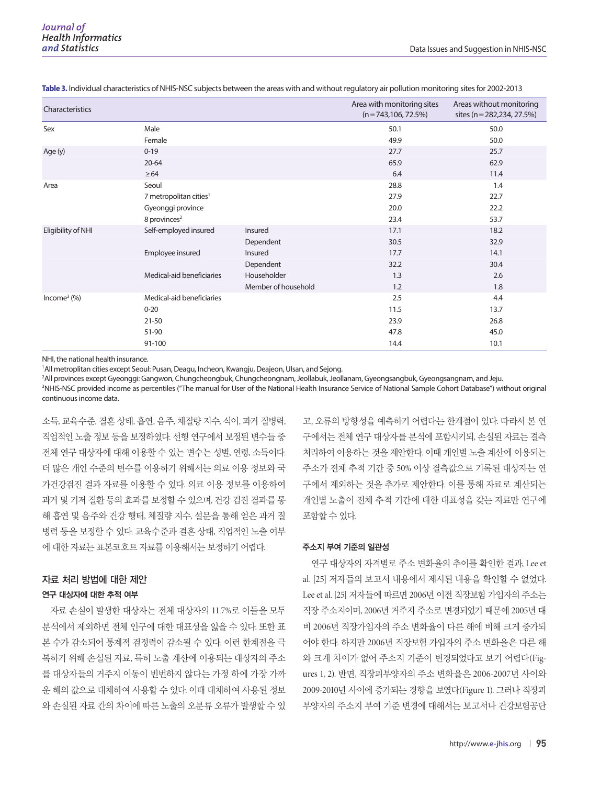| Characteristics           |                                    |                     | Area with monitoring sites<br>$(n = 743, 106, 72.5\%)$ | Areas without monitoring<br>sites (n = 282,234, 27.5%) |
|---------------------------|------------------------------------|---------------------|--------------------------------------------------------|--------------------------------------------------------|
| Sex                       | Male                               |                     | 50.1                                                   | 50.0                                                   |
|                           | Female                             |                     | 49.9                                                   | 50.0                                                   |
| Age (y)                   | $0 - 19$                           |                     | 27.7                                                   | 25.7                                                   |
|                           | 20-64                              |                     | 65.9                                                   | 62.9                                                   |
|                           | $\geq 64$                          |                     | 6.4                                                    | 11.4                                                   |
| Area                      | Seoul                              |                     | 28.8                                                   | 1.4                                                    |
|                           | 7 metropolitan cities <sup>1</sup> |                     | 27.9                                                   | 22.7                                                   |
|                           | Gyeonggi province                  |                     | 20.0                                                   | 22.2                                                   |
|                           | 8 provinces <sup>2</sup>           |                     | 23.4                                                   | 53.7                                                   |
| Eligibility of NHI        | Self-employed insured              | Insured             | 17.1                                                   | 18.2                                                   |
|                           |                                    | Dependent           | 30.5                                                   | 32.9                                                   |
|                           | Employee insured                   | Insured             | 17.7                                                   | 14.1                                                   |
|                           |                                    | Dependent           | 32.2                                                   | 30.4                                                   |
|                           | Medical-aid beneficiaries          | Householder         | 1.3                                                    | 2.6                                                    |
|                           |                                    | Member of household | 1.2                                                    | 1.8                                                    |
| Income <sup>3</sup> $(%)$ | Medical-aid beneficiaries          |                     | 2.5                                                    | 4.4                                                    |
|                           | $0 - 20$                           |                     | 11.5                                                   | 13.7                                                   |
|                           | $21 - 50$                          |                     | 23.9                                                   | 26.8                                                   |
|                           | 51-90                              |                     | 47.8                                                   | 45.0                                                   |
|                           | 91-100                             |                     | 14.4                                                   | 10.1                                                   |

**Table 3.** Individual characteristics of NHIS-NSC subjects between the areas with and without regulatory air pollution monitoring sites for 2002-2013

NHI, the national health insurance.

1 All metroplitan cities except Seoul: Pusan, Deagu, Incheon, Kwangju, Deajeon, Ulsan, and Sejong.

2 All provinces except Gyeonggi: Gangwon, Chungcheongbuk, Chungcheongnam, Jeollabuk, Jeollanam, Gyeongsangbuk, Gyeongsangnam, and Jeju. 3 NHIS-NSC provided income as percentiles ("The manual for User of the National Health Insurance Service of National Sample Cohort Database") without original continuous income data.

소득, 교육수준, 결혼 상태, 흡연, 음주, 체질량 지수, 식이, 과거 질병력, 직업적인 노출 정보 등을 보정하였다. 선행 연구에서 보정된 변수들 중 전체 연구 대상자에 대해 이용할 수 있는 변수는 성별, 연령, 소득이다. 더 많은 개인 수준의 변수를 이용하기 위해서는 의료 이용 정보와 국 가건강검진 결과 자료를 이용할 수 있다. 의료 이용 정보를 이용하여 과거 및 기저 질환 등의 효과를 보정할 수 있으며, 건강 검진 결과를 통 해 흡연 및 음주와 건강 행태, 체질량 지수, 설문을 통해 얻은 과거 질 병력 등을 보정할 수 있다. 교육수준과 결혼 상태, 직업적인 노출 여부 에 대한 자료는 표본코호트 자료를 이용해서는 보정하기 어렵다.

## 자료 처리 방법에 대한 제안 연구 대상자에 대한 추적 여부

자료 손실이 발생한 대상자는 전체 대상자의 11.7%로 이들을 모두 분석에서 제외하면 전체 인구에 대한 대표성을 잃을 수 있다. 또한 표 본 수가 감소되어 통계적 검정력이 감소될 수 있다. 이런 한계점을 극 복하기 위해 손실된 자료, 특히 노출 계산에 이용되는 대상자의 주소 를 대상자들의 거주지 이동이 빈번하지 않다는 가정 하에 가장 가까 운 해의 값으로 대체하여 사용할 수 있다. 이때 대체하여 사용된 정보 와 손실된 자료 간의 차이에 따른 노출의 오분류 오류가 발생할 수 있 고, 오류의 방향성을 예측하기 어렵다는 한계점이 있다. 따라서 본 연 구에서는 전체 연구 대상자를 분석에 포함시키되, 손실된 자료는 결측 처리하여 이용하는 것을 제안한다. 이때 개인별 노출 계산에 이용되는 주소가 전체 추적 기간 중 50% 이상 결측값으로 기록된 대상자는 연 구에서 제외하는 것을 추가로 제안한다. 이를 통해 자료로 계산되는 개인별 노출이 전체 추적 기간에 대한 대표성을 갖는 자료만 연구에 포함할 수 있다.

#### 주소지 부여 기준의 일관성

연구 대상자의 자격별로 주소 변화율의 추이를 확인한 결과, Lee et al. [25] 저자들의 보고서 내용에서 제시된 내용을 확인할 수 없었다. Lee et al. [25] 저자들에 따르면 2006년 이전 직장보험 가입자의 주소는 직장 주소지이며, 2006년 거주지 주소로 변경되었기 때문에 2005년 대 비 2006년 직장가입자의 주소 변화율이 다른 해에 비해 크게 증가되 어야 한다. 하지만 2006년 직장보험 가입자의 주소 변화율은 다른 해 와 크게 차이가 없어 주소지 기준이 변경되었다고 보기 어렵다(Figures 1, 2). 반면, 직장피부양자의 주소 변화율은 2006-2007년 사이와 2009-2010년 사이에 증가되는 경향을 보였다(Figure 1). 그러나 직장피 부양자의 주소지 부여 기준 변경에 대해서는 보고서나 건강보험공단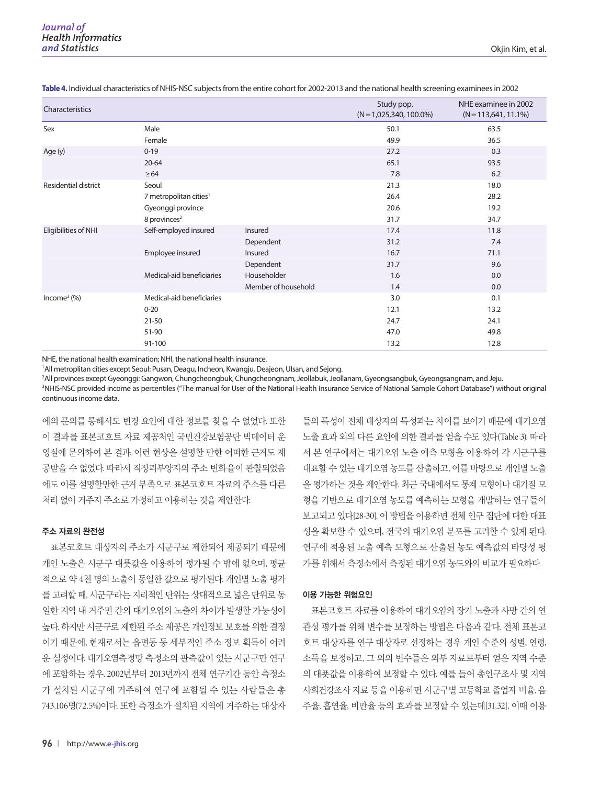| Characteristics         |                                    |                     | Study pop.<br>$(N = 1,025,340,100.0\%)$ | NHE examinee in 2002<br>$(N=113,641, 11.1\%)$ |
|-------------------------|------------------------------------|---------------------|-----------------------------------------|-----------------------------------------------|
| Sex                     | Male                               |                     | 50.1                                    | 63.5                                          |
|                         | Female                             |                     | 49.9                                    | 36.5                                          |
| Age (y)                 | $0 - 19$                           |                     | 27.2                                    | 0.3                                           |
|                         | 20-64                              |                     | 65.1                                    | 93.5                                          |
|                         | $\geq 64$                          |                     | 7.8                                     | 6.2                                           |
| Residential district    | Seoul                              |                     | 21.3                                    | 18.0                                          |
|                         | 7 metropolitan cities <sup>1</sup> |                     | 26.4                                    | 28.2                                          |
|                         | Gyeonggi province                  |                     | 20.6                                    | 19.2                                          |
|                         | 8 provinces <sup>2</sup>           |                     | 31.7                                    | 34.7                                          |
| Eligibilities of NHI    | Self-employed insured              | Insured             | 17.4                                    | 11.8                                          |
|                         |                                    | Dependent           | 31.2                                    | 7.4                                           |
|                         | Employee insured                   | Insured             | 16.7                                    | 71.1                                          |
|                         |                                    | Dependent           | 31.7                                    | 9.6                                           |
|                         | Medical-aid beneficiaries          | Householder         | 1.6                                     | 0.0                                           |
|                         |                                    | Member of household | 1.4                                     | 0.0                                           |
| Income <sup>3</sup> (%) | Medical-aid beneficiaries          |                     | 3.0                                     | 0.1                                           |
|                         | $0 - 20$                           |                     | 12.1                                    | 13.2                                          |
|                         | $21 - 50$                          |                     | 24.7                                    | 24.1                                          |
|                         | 51-90                              |                     | 47.0                                    | 49.8                                          |
|                         | 91-100                             |                     | 13.2                                    | 12.8                                          |

**Table 4.** Individual characteristics of NHIS-NSC subjects from the entire cohort for 2002-2013 and the national health screening examinees in 2002

NHE, the national health examination; NHI, the national health insurance.

1 All metroplitan cities except Seoul: Pusan, Deagu, Incheon, Kwangju, Deajeon, Ulsan, and Sejong.

2 All provinces except Gyeonggi: Gangwon, Chungcheongbuk, Chungcheongnam, Jeollabuk, Jeollanam, Gyeongsangbuk, Gyeongsangnam, and Jeju.

3 NHIS-NSC provided income as percentiles ("The manual for User of the National Health Insurance Service of National Sample Cohort Database") without original continuous income data.

에의 문의를 통해서도 변경 요인에 대한 정보를 찾을 수 없었다. 또한 이 결과를 표본코호트 자료 제공처인 국민건강보험공단 빅데이터 운 영실에 문의하여 본 결과, 이런 현상을 설명할 만한 어떠한 근거도 제 공받을 수 없었다. 따라서 직장피부양자의 주소 변화율이 관찰되었음 에도 이를 설명할만한 근거 부족으로 표본코호트 자료의 주소를 다른 처리 없이 거주지 주소로 가정하고 이용하는 것을 제안한다.

#### 주소 자료의 완전성

표본코호트 대상자의 주소가 시군구로 제한되어 제공되기 때문에 개인 노출은 시군구 대푯값을 이용하여 평가될 수 밖에 없으며, 평균 적으로 약 4천 명의 노출이 동일한 값으로 평가된다. 개인별 노출 평가 를 고려할 때, 시군구라는 지리적인 단위는 상대적으로 넓은 단위로 동 일한 지역 내 거주민 간의 대기오염의 노출의 차이가 발생할 가능성이 높다. 하지만 시군구로 제한된 주소 제공은 개인정보 보호를 위한 결정 이기 때문에, 현재로서는 읍면동 등 세부적인 주소 정보 획득이 어려 운 실정이다. 대기오염측정망 측정소의 관측값이 있는 시군구만 연구 에 포함하는 경우, 2002년부터 2013년까지 전체 연구기간 동안 측정소 가 설치된 시군구에 거주하여 연구에 포함될 수 있는 사람들은 총 743,106명(72.5%)이다. 또한 측정소가 설치된 지역에 거주하는 대상자 들의 특성이 전체 대상자의 특성과는 차이를 보이기 때문에 대기오염 노출 효과 외의 다른 요인에 의한 결과를 얻을 수도 있다(Table 3). 따라 서 본 연구에서는 대기오염 노출 예측 모형을 이용하여 각 시군구를 대표할 수 있는 대기오염 농도를 산출하고, 이를 바탕으로 개인별 노출 을 평가하는 것을 제안한다. 최근 국내에서도 통계 모형이나 대기질 모 형을 기반으로 대기오염 농도를 예측하는 모형을 개발하는 연구들이 보고되고 있다[28-30]. 이 방법을 이용하면 전체 인구 집단에 대한 대표 성을 확보할 수 있으며, 전국의 대기오염 분포를 고려할 수 있게 된다. 연구에 적용된 노출 예측 모형으로 산출된 농도 예측값의 타당성 평 가를 위해서 측정소에서 측정된 대기오염 농도와의 비교가 필요하다.

#### 이용 가능한 위험요인

표본코호트 자료를 이용하여 대기오염의 장기 노출과 사망 간의 연 관성 평가를 위해 변수를 보정하는 방법은 다음과 같다. 전체 표본코 호트 대상자를 연구 대상자로 선정하는 경우 개인 수준의 성별, 연령, 소득을 보정하고, 그 외의 변수들은 외부 자료로부터 얻은 지역 수준 의 대푯값을 이용하여 보정할 수 있다. 예를 들어 총인구조사 및 지역 사회건강조사 자료 등을 이용하면 시군구별 고등학교 졸업자 비율, 음 주율, 흡연율, 비만율 등의 효과를 보정할 수 있는데[31,32], 이때 이용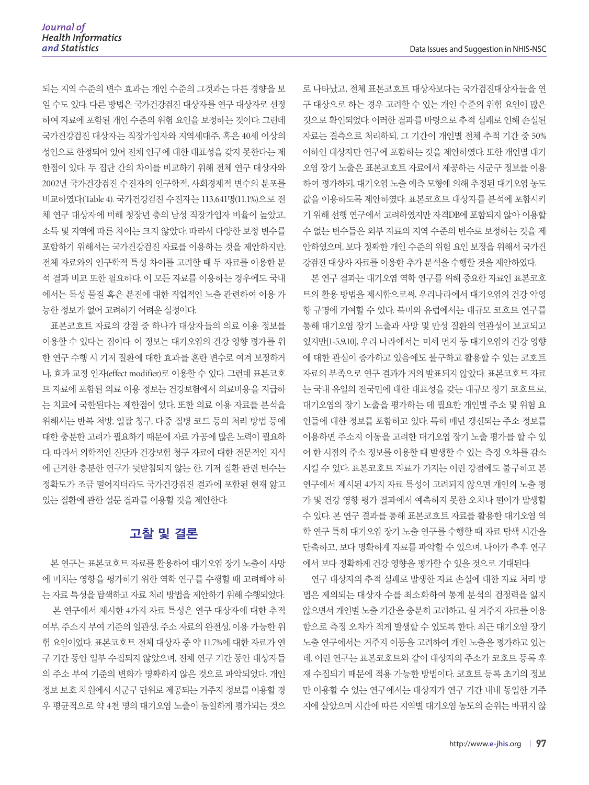되는 지역 수준의 변수 효과는 개인 수준의 그것과는 다른 경향을 보 일 수도 있다. 다른 방법은 국가건강검진 대상자를 연구 대상자로 선정 하여 자료에 포함된 개인 수준의 위험 요인을 보정하는 것이다. 그런데 국가건강검진 대상자는 직장가입자와 지역세대주, 혹은 40세 이상의 성인으로 한정되어 있어 전체 인구에 대한 대표성을 갖지 못한다는 제 한점이 있다. 두 집단 간의 차이를 비교하기 위해 전체 연구 대상자와 2002년 국가건강검진 수진자의 인구학적, 사회경제적 변수의 분포를 비교하였다(Table 4). 국가건강검진 수진자는 113,641명(11.1%)으로 전 체 연구 대상자에 비해 청장년 층의 남성 직장가입자 비율이 높았고, 소득 및 지역에 따른 차이는 크지 않았다. 따라서 다양한 보정 변수를 포함하기 위해서는 국가건강검진 자료를 이용하는 것을 제안하지만, 전체 자료와의 인구학적 특성 차이를 고려할 때 두 자료를 이용한 분 석 결과 비교 또한 필요하다. 이 모든 자료를 이용하는 경우에도 국내 에서는 독성 물질 혹은 분진에 대한 직업적인 노출 관련하여 이용 가 능한 정보가 없어 고려하기 어려운 실정이다.

표본코호트 자료의 강점 중 하나가 대상자들의 의료 이용 정보를 이용할 수 있다는 점이다. 이 정보는 대기오염의 건강 영향 평가를 위 한 연구 수행 시 기저 질환에 대한 효과를 혼란 변수로 여겨 보정하거 나, 효과 교정 인자(effect modifier)로 이용할 수 있다. 그런데 표본코호 트 자료에 포함된 의료 이용 정보는 건강보험에서 의료비용을 지급하 는 치료에 국한된다는 제한점이 있다. 또한 의료 이용 자료를 분석을 위해서는 반복 처방, 일괄 청구, 다중 질병 코드 등의 처리 방법 등에 대한 충분한 고려가 필요하기 때문에 자료 가공에 많은 노력이 필요하 다. 따라서 의학적인 진단과 건강보험 청구 자료에 대한 전문적인 지식 에 근거한 충분한 연구가 뒷받침되지 않는 한, 기저 질환 관련 변수는 정확도가 조금 떨어지더라도 국가건강검진 결과에 포함된 현재 앓고 있는 질환에 관한 설문 결과를 이용할 것을 제안한다.

# 고찰 및 결론

본 연구는 표본코호트 자료를 활용하여 대기오염 장기 노출이 사망 에 미치는 영향을 평가하기 위한 역학 연구를 수행할 때 고려해야 하 는 자료 특성을 탐색하고 자료 처리 방법을 제안하기 위해 수행되었다. 본 연구에서 제시한 4가지 자료 특성은 연구 대상자에 대한 추적 여부, 주소지 부여 기준의 일관성, 주소 자료의 완전성, 이용 가능한 위 험 요인이었다. 표본코호트 전체 대상자 중 약 11.7%에 대한 자료가 연 구 기간 동안 일부 수집되지 않았으며, 전체 연구 기간 동안 대상자들 의 주소 부여 기준의 변화가 명확하지 않은 것으로 파악되었다. 개인 정보 보호 차원에서 시군구 단위로 제공되는 거주지 정보를 이용할 경 우 평균적으로 약 4천 명의 대기오염 노출이 동일하게 평가되는 것으

로 나타났고, 전체 표본코호트 대상자보다는 국가검진대상자들을 연 구 대상으로 하는 경우 고려할 수 있는 개인 수준의 위험 요인이 많은 것으로 확인되었다. 이러한 결과를 바탕으로 추적 실패로 인해 손실된 자료는 결측으로 처리하되, 그 기간이 개인별 전체 추적 기간 중 50% 이하인 대상자만 연구에 포함하는 것을 제안하였다. 또한 개인별 대기 오염 장기 노출은 표본코호트 자료에서 제공하는 시군구 정보를 이용 하여 평가하되, 대기오염 노출 예측 모형에 의해 추정된 대기오염 농도 값을 이용하도록 제안하였다. 표본코호트 대상자를 분석에 포함시키 기 위해 선행 연구에서 고려하였지만 자격DB에 포함되지 않아 이용할 수 없는 변수들은 외부 자료의 지역 수준의 변수로 보정하는 것을 제 안하였으며, 보다 정확한 개인 수준의 위험 요인 보정을 위해서 국가건 강검진 대상자 자료를 이용한 추가 분석을 수행할 것을 제안하였다.

본 연구 결과는 대기오염 역학 연구를 위해 중요한 자료인 표본코호 트의 활용 방법을 제시함으로써, 우리나라에서 대기오염의 건강 악영 향 규명에 기여할 수 있다. 북미와 유럽에서는 대규모 코호트 연구를 통해 대기오염 장기 노출과 사망 및 만성 질환의 연관성이 보고되고 있지만[1-5,9,10], 우리 나라에서는 미세 먼지 등 대기오염의 건강 영향 에 대한 관심이 증가하고 있음에도 불구하고 활용할 수 있는 코호트 자료의 부족으로 연구 결과가 거의 발표되지 않았다. 표본코호트 자료 는 국내 유일의 전국민에 대한 대표성을 갖는 대규모 장기 코호트로, 대기오염의 장기 노출을 평가하는 데 필요한 개인별 주소 및 위험 요 인들에 대한 정보를 포함하고 있다. 특히 매년 갱신되는 주소 정보를 이용하면 주소지 이동을 고려한 대기오염 장기 노출 평가를 할 수 있 어 한 시점의 주소 정보를 이용할 때 발생할 수 있는 측정 오차를 감소 시킬 수 있다. 표본코호트 자료가 가지는 이런 강점에도 불구하고 본 연구에서 제시된 4가지 자료 특성이 고려되지 않으면 개인의 노출 평 가 및 건강 영향 평가 결과에서 예측하지 못한 오차나 편이가 발생할 수 있다. 본 연구 결과를 통해 표본코호트 자료를 활용한 대기오염 역 학 연구 특히 대기오염 장기 노출 연구를 수행할 때 자료 탐색 시간을 단축하고, 보다 명확하게 자료를 파악할 수 있으며, 나아가 추후 연구 에서 보다 정확하게 건강 영향을 평가할 수 있을 것으로 기대된다.

연구 대상자의 추적 실패로 발생한 자료 손실에 대한 자료 처리 방 법은 제외되는 대상자 수를 최소화하여 통계 분석의 검정력을 잃지 않으면서 개인별 노출 기간을 충분히 고려하고, 실 거주지 자료를 이용 함으로 측정 오차가 적게 발생할 수 있도록 한다. 최근 대기오염 장기 노출 연구에서는 거주지 이동을 고려하여 개인 노출을 평가하고 있는 데, 이런 연구는 표본코호트와 같이 대상자의 주소가 코호트 등록 후 재 수집되기 때문에 적용 가능한 방법이다. 코호트 등록 초기의 정보 만 이용할 수 있는 연구에서는 대상자가 연구 기간 내내 동일한 거주 지에 살았으며 시간에 따른 지역별 대기오염 농도의 순위는 바뀌지 않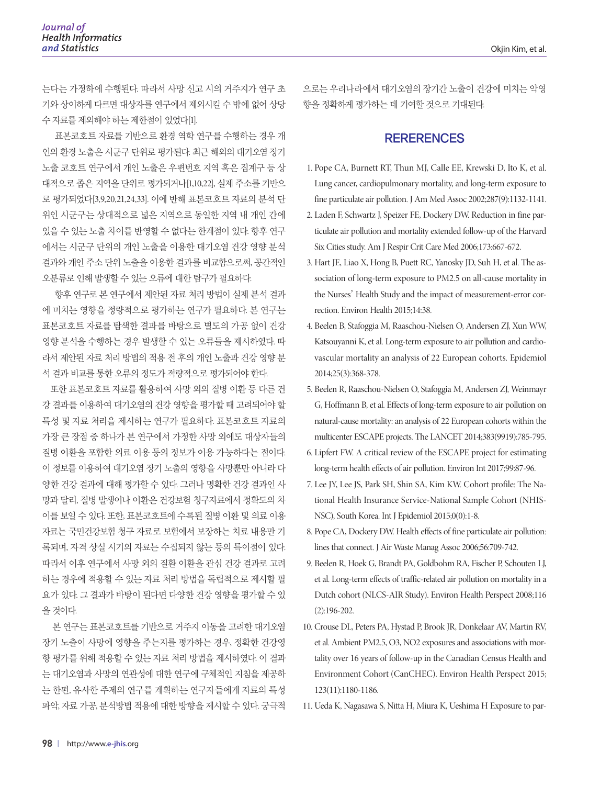는다는 가정하에 수행된다. 따라서 사망 신고 시의 거주지가 연구 초 기와 상이하게 다르면 대상자를 연구에서 제외시킬 수 밖에 없어 상당 수 자료를 제외해야 하는 제한점이 있었다[1].

 표본코호트 자료를 기반으로 환경 역학 연구를 수행하는 경우 개 인의 환경 노출은 시군구 단위로 평가된다. 최근 해외의 대기오염 장기 노출 코호트 연구에서 개인 노출은 우편번호 지역 혹은 집계구 등 상 대적으로 좁은 지역을 단위로 평가되거나[1,10,22], 실제 주소를 기반으 로 평가되었다[3,9,20,21,24,33]. 이에 반해 표본코호트 자료의 분석 단 위인 시군구는 상대적으로 넓은 지역으로 동일한 지역 내 개인 간에 있을 수 있는 노출 차이를 반영할 수 없다는 한계점이 있다. 향후 연구 에서는 시군구 단위의 개인 노출을 이용한 대기오염 건강 영향 분석 결과와 개인 주소 단위 노출을 이용한 결과를 비교함으로써, 공간적인 오분류로 인해 발생할 수 있는 오류에 대한 탐구가 필요하다.

 향후 연구로 본 연구에서 제안된 자료 처리 방법이 실제 분석 결과 에 미치는 영향을 정량적으로 평가하는 연구가 필요하다. 본 연구는 표본코호트 자료를 탐색한 결과를 바탕으로 별도의 가공 없이 건강 영향 분석을 수행하는 경우 발생할 수 있는 오류들을 제시하였다. 따 라서 제안된 자료 처리 방법의 적용 전 후의 개인 노출과 건강 영향 분 석 결과 비교를 통한 오류의 정도가 적량적으로 평가되어야 한다.

또한 표본코호트 자료를 활용하여 사망 외의 질병 이환 등 다른 건 강 결과를 이용하여 대기오염의 건강 영향을 평가할 때 고려되어야 할 특성 및 자료 처리을 제시하는 연구가 필요하다. 표본코호트 자료의 가장 큰 장점 중 하나가 본 연구에서 가정한 사망 외에도 대상자들의 질병 이환을 포함한 의료 이용 등의 정보가 이용 가능하다는 점이다. 이 정보를 이용하여 대기오염 장기 노출의 영향을 사망뿐만 아니라 다 양한 건강 결과에 대해 평가할 수 있다. 그러나 명확한 건강 결과인 사 망과 달리, 질병 발생이나 이환은 건강보험 청구자료에서 정확도의 차 이를 보일 수 있다. 또한, 표본코호트에 수록된 질병 이환 및 의료 이용 자료는 국민건강보험 청구 자료로 보험에서 보장하는 치료 내용만 기 록되며, 자격 상실 시기의 자료는 수집되지 않는 등의 특이점이 있다. 따라서 이후 연구에서 사망 외의 질환 이환을 관심 건강 결과로 고려 하는 경우에 적용할 수 있는 자료 처리 방법을 독립적으로 제시할 필 요가 있다. 그 결과가 바탕이 된다면 다양한 건강 영향을 평가할 수 있 을 것이다.

본 연구는 표본코호트를 기반으로 거주지 이동을 고려한 대기오염 장기 노출이 사망에 영향을 주는지를 평가하는 경우, 정확한 건강영 향 평가를 위해 적용할 수 있는 자료 처리 방법을 제시하였다. 이 결과 는 대기오염과 사망의 연관성에 대한 연구에 구체적인 지침을 제공하 는 한편, 유사한 주제의 연구를 계획하는 연구자들에게 자료의 특성 파악, 자료 가공, 분석방법 적용에 대한 방향을 제시할 수 있다. 궁극적

## **RERERENCES**

- 1. Pope CA, Burnett RT, Thun MJ, Calle EE, Krewski D, Ito K, et al. Lung cancer, cardiopulmonary mortality, and long-term exposure to fine particulate air pollution. J Am Med Assoc 2002;287(9):1132-1141.
- 2. Laden F, Schwartz J, Speizer FE, Dockery DW. Reduction in fine particulate air pollution and mortality extended follow-up of the Harvard Six Cities study. Am J Respir Crit Care Med 2006;173:667-672.
- 3. Hart JE, Liao X, Hong B, Puett RC, Yanosky JD, Suh H, et al. The association of long-term exposure to PM2.5 on all-cause mortality in the Nurses' Health Study and the impact of measurement-error correction. Environ Health 2015;14:38.
- 4. Beelen B, Stafoggia M, Raaschou-Nielsen O, Andersen ZJ, Xun WW, Katsouyanni K, et al. Long-term exposure to air pollution and cardiovascular mortality an analysis of 22 European cohorts. Epidemiol 2014;25(3):368-378.
- 5. Beelen R, Raaschou-Nielsen O, Stafoggia M, Andersen ZJ, Weinmayr G, Hoffmann B, et al. Effects of long-term exposure to air pollution on natural-cause mortality: an analysis of 22 European cohorts within the multicenter ESCAPE projects. The LANCET 2014;383(9919):785-795.
- 6. Lipfert FW. A critical review of the ESCAPE project for estimating long-term health effects of air pollution. Environ Int 2017;99:87-96.
- 7. Lee JY, Lee JS, Park SH, Shin SA, Kim KW. Cohort profile: The National Health Insurance Service-National Sample Cohort (NHIS-NSC), South Korea. Int J Epidemiol 2015;0(0):1-8.
- 8. Pope CA, Dockery DW. Health effects of fine particulate air pollution: lines that connect. J Air Waste Manag Assoc 2006;56:709-742.
- 9. Beelen R, Hoek G, Brandt PA, Goldbohm RA, Fischer P, Schouten LJ, et al. Long-term effects of traffic-related air pollution on mortality in a Dutch cohort (NLCS-AIR Study). Environ Health Perspect 2008;116 (2):196-202.
- 10. Crouse DL, Peters PA, Hystad P, Brook JR, Donkelaar AV, Martin RV, et al. Ambient PM2.5, O3, NO2 exposures and associations with mortality over 16 years of follow-up in the Canadian Census Health and Environment Cohort (CanCHEC). Environ Health Perspect 2015; 123(11):1180-1186.
- 11. Ueda K, Nagasawa S, Nitta H, Miura K, Ueshima H Exposure to par-